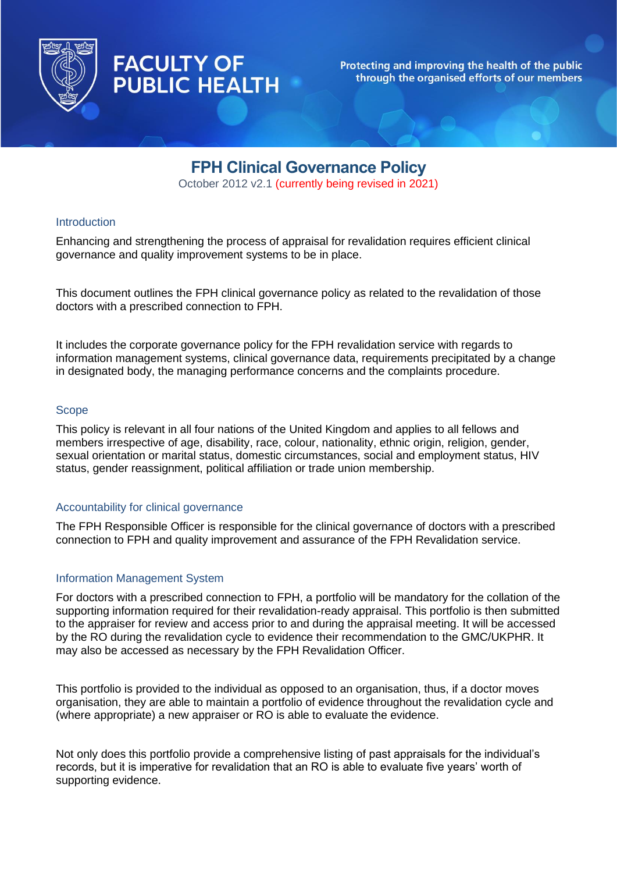

**FACULTY OF** 

**PUBLIC HEALTH** 

## Protecting and improving the health of the public through the organised efforts of our members

# **FPH Clinical Governance Policy**

October 2012 v2.1 (currently being revised in 2021)

# **Introduction**

Enhancing and strengthening the process of appraisal for revalidation requires efficient clinical governance and quality improvement systems to be in place.

This document outlines the FPH clinical governance policy as related to the revalidation of those doctors with a prescribed connection to FPH.

It includes the corporate governance policy for the FPH revalidation service with regards to information management systems, clinical governance data, requirements precipitated by a change in designated body, the managing performance concerns and the complaints procedure.

## **Scope**

This policy is relevant in all four nations of the United Kingdom and applies to all fellows and members irrespective of age, disability, race, colour, nationality, ethnic origin, religion, gender, sexual orientation or marital status, domestic circumstances, social and employment status, HIV status, gender reassignment, political affiliation or trade union membership.

### Accountability for clinical governance

The FPH Responsible Officer is responsible for the clinical governance of doctors with a prescribed connection to FPH and quality improvement and assurance of the FPH Revalidation service.

### Information Management System

For doctors with a prescribed connection to FPH, a portfolio will be mandatory for the collation of the supporting information required for their revalidation-ready appraisal. This portfolio is then submitted to the appraiser for review and access prior to and during the appraisal meeting. It will be accessed by the RO during the revalidation cycle to evidence their recommendation to the GMC/UKPHR. It may also be accessed as necessary by the FPH Revalidation Officer.

This portfolio is provided to the individual as opposed to an organisation, thus, if a doctor moves organisation, they are able to maintain a portfolio of evidence throughout the revalidation cycle and (where appropriate) a new appraiser or RO is able to evaluate the evidence.

Not only does this portfolio provide a comprehensive listing of past appraisals for the individual's records, but it is imperative for revalidation that an RO is able to evaluate five years' worth of supporting evidence.